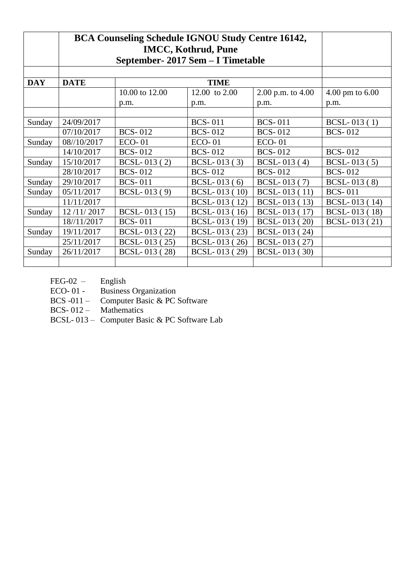|            | <b>BCA Counseling Schedule IGNOU Study Centre 16142,</b> |                |                             |                |                |
|------------|----------------------------------------------------------|----------------|-----------------------------|----------------|----------------|
| <b>DAY</b> | <b>DATE</b>                                              |                |                             |                |                |
|            |                                                          | 10.00 to 12.00 | $4.00 \text{ pm}$ to $6.00$ |                |                |
|            |                                                          | p.m.           | p.m.                        |                |                |
|            |                                                          |                |                             |                |                |
| Sunday     | 24/09/2017                                               |                | <b>BCS-011</b>              | <b>BCS-011</b> | $BCSL-013(1)$  |
|            | 07/10/2017                                               | <b>BCS-012</b> | <b>BCS-012</b>              | <b>BCS-012</b> | <b>BCS-012</b> |
| Sunday     | 08//10/2017                                              | $ECO-01$       | $ECO-01$                    | $ECO-01$       |                |
|            | 14/10/2017                                               | <b>BCS-012</b> | <b>BCS-012</b>              | <b>BCS-012</b> | <b>BCS-012</b> |
| Sunday     | 15/10/2017                                               | BCSL-013 (2)   | $BCSL-013(3)$               | $BCSL-013(4)$  | $BCSL-013(5)$  |
|            | 28/10/2017                                               | <b>BCS-012</b> | <b>BCS-012</b>              | <b>BCS-012</b> | <b>BCS-012</b> |
| Sunday     | 29/10/2017                                               | <b>BCS-011</b> | $BCSL-013(6)$               | BCSL-013 (7)   | BCSL-013 (8)   |
| Sunday     | 05/11/2017                                               | $BCSL-013(9)$  | $BCSL-013(10)$              | $BCSL-013(11)$ | <b>BCS-011</b> |
|            | 11/11/2017                                               |                | BCSL-013 (12)               | $BCSL-013(13)$ | BCSL-013 (14)  |
| Sunday     | 12/11/2017                                               | BCSL-013 (15)  | BCSL-013 (16)               | BCSL-013 (17)  | BCSL-013 (18)  |
|            | 18//11/2017                                              | <b>BCS-011</b> | BCSL-013 (19)               | BCSL-013 (20)  | BCSL-013 (21)  |
| Sunday     | 19/11/2017                                               | BCSL-013 (22)  | BCSL-013 (23)               | BCSL-013 (24)  |                |
|            | 25/11/2017                                               | BCSL-013 (25)  |                             |                |                |
| Sunday     | 26/11/2017                                               | BCSL-013 (28)  |                             |                |                |
|            |                                                          |                |                             |                |                |

FEG-02 – English

ECO- 01 - Business Organization

BCS -011 – Computer Basic & PC Software

BCS- 012 – Mathematics

BCSL- 013 – Computer Basic & PC Software Lab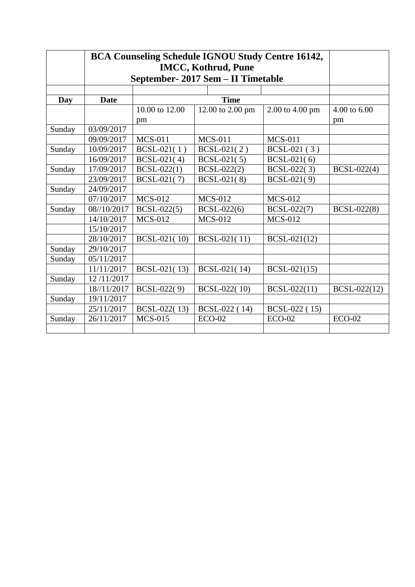|        | <b>BCA Counseling Schedule IGNOU Study Centre 16142,</b><br><b>IMCC, Kothrud, Pune</b><br>September- 2017 Sem - II Timetable |                |  |                  |                 |              |  |
|--------|------------------------------------------------------------------------------------------------------------------------------|----------------|--|------------------|-----------------|--------------|--|
|        |                                                                                                                              |                |  |                  |                 |              |  |
|        |                                                                                                                              |                |  |                  |                 |              |  |
| Day    | <b>Date</b>                                                                                                                  |                |  | <b>Time</b>      |                 |              |  |
|        |                                                                                                                              | 10.00 to 12.00 |  | 12.00 to 2.00 pm | 2.00 to 4.00 pm | 4.00 to 6.00 |  |
|        |                                                                                                                              | pm             |  |                  |                 | pm           |  |
| Sunday | 03/09/2017                                                                                                                   |                |  |                  |                 |              |  |
|        | 09/09/2017                                                                                                                   | <b>MCS-011</b> |  | <b>MCS-011</b>   | <b>MCS-011</b>  |              |  |
| Sunday | 10/09/2017                                                                                                                   | $BCSL-021(1)$  |  | $BCSL-021(2)$    | $BCSL-021(3)$   |              |  |
|        | 16/09/2017                                                                                                                   | $BCSL-021(4)$  |  | $BCSL-021(5)$    | $BCSL-021(6)$   |              |  |
| Sunday | 17/09/2017                                                                                                                   | $BCSL-022(1)$  |  | BCSL-022(2)      | BCSL-022(3)     | BCSL-022(4)  |  |
|        | 23/09/2017                                                                                                                   | BCSL-021(7)    |  | BCSL-021(8)      | BCSL-021(9)     |              |  |
| Sunday | 24/09/2017                                                                                                                   |                |  |                  |                 |              |  |
|        | 07/10/2017                                                                                                                   | <b>MCS-012</b> |  | <b>MCS-012</b>   | <b>MCS-012</b>  |              |  |
| Sunday | 08//10/2017                                                                                                                  | $BCSL-022(5)$  |  | BCSL-022(6)      | BCSL-022(7)     | BCSL-022(8)  |  |
|        | 14/10/2017                                                                                                                   | <b>MCS-012</b> |  | <b>MCS-012</b>   | <b>MCS-012</b>  |              |  |
|        | 15/10/2017                                                                                                                   |                |  |                  |                 |              |  |
|        | 28/10/2017                                                                                                                   | BCSL-021(10)   |  | BCSL-021(11)     | BCSL-021(12)    |              |  |
| Sunday | 29/10/2017                                                                                                                   |                |  |                  |                 |              |  |
| Sunday | 05/11/2017                                                                                                                   |                |  |                  |                 |              |  |
|        | 11/11/2017                                                                                                                   | BCSL-021(13)   |  | BCSL-021(14)     | BCSL-021(15)    |              |  |
| Sunday | 12/11/2017                                                                                                                   |                |  |                  |                 |              |  |
|        | 18//11/2017                                                                                                                  | BCSL-022(9)    |  | BCSL-022(10)     | BCSL-022(11)    | BCSL-022(12) |  |
| Sunday | 19/11/2017                                                                                                                   |                |  |                  |                 |              |  |
|        | 25/11/2017                                                                                                                   | BCSL-022(13)   |  | BCSL-022 (14)    | BCSL-022 (15)   |              |  |
| Sunday | 26/11/2017                                                                                                                   | <b>MCS-015</b> |  | $ECO-02$         | $ECO-02$        | $ECO-02$     |  |
|        |                                                                                                                              |                |  |                  |                 |              |  |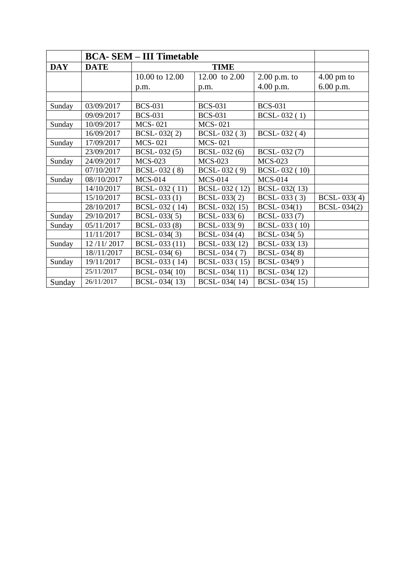|            | <b>BCA- SEM – III Timetable</b> |                |                    |                |                      |
|------------|---------------------------------|----------------|--------------------|----------------|----------------------|
| <b>DAY</b> | <b>DATE</b>                     |                |                    |                |                      |
|            |                                 | 10.00 to 12.00 | 12.00 to 2.00      | $2.00$ p.m. to | $4.00 \text{ pm}$ to |
|            |                                 | p.m.           | p.m.               | 4.00 p.m.      | 6.00 p.m.            |
|            |                                 |                |                    |                |                      |
| Sunday     | 03/09/2017                      | <b>BCS-031</b> | <b>BCS-031</b>     | <b>BCS-031</b> |                      |
|            | 09/09/2017                      | <b>BCS-031</b> | <b>BCS-031</b>     | $BCSL-032(1)$  |                      |
| Sunday     | 10/09/2017                      | <b>MCS-021</b> | <b>MCS-021</b>     |                |                      |
|            | 16/09/2017                      | BCSL-032(2)    | $BCSL-032(3)$      | $BCSL-032(4)$  |                      |
| Sunday     | 17/09/2017                      | <b>MCS-021</b> | <b>MCS-021</b>     |                |                      |
|            | 23/09/2017                      | $BCSL-032(5)$  | $BCSL-032(6)$      | BCSL-032 (7)   |                      |
| Sunday     | 24/09/2017                      | <b>MCS-023</b> | <b>MCS-023</b>     | <b>MCS-023</b> |                      |
|            | 07/10/2017                      | BCSL-032 (8)   | BCSL-032 (9)       | BCSL-032 (10)  |                      |
| Sunday     | 08//10/2017                     | <b>MCS-014</b> | <b>MCS-014</b>     | <b>MCS-014</b> |                      |
|            | 14/10/2017                      | BCSL-032 (11)  | BCSL-032 (12)      | BCSL-032(13)   |                      |
|            | 15/10/2017                      | $BCSL-033(1)$  | BCSL-033(2)        | $BCSL-033(3)$  | BCSL-033(4)          |
|            | 28/10/2017                      | BCSL-032 (14)  | BCSL-032(15)       | BCSL-034(1)    | BCSL-034(2)          |
| Sunday     | 29/10/2017                      | BCSL-033(5)    | $BCSL-033(6)$      | BCSL-033 (7)   |                      |
| Sunday     | 05/11/2017                      | BCSL-033(8)    | <b>BCSL-033(9)</b> | BCSL-033 (10)  |                      |
|            | 11/11/2017                      | $BCSL-034(3)$  | $BCSL-034(4)$      | $BCSL-034(5)$  |                      |
| Sunday     | 12/11/2017                      | BCSL-033 (11)  | BCSL-033(12)       | BCSL-033(13)   |                      |
|            | 18//11/2017                     | $BCSL-034(6)$  | BCSL-034 (7)       | BCSL-034(8)    |                      |
| Sunday     | 19/11/2017                      | BCSL-033 (14)  | BCSL-033 (15)      | BCSL-034(9)    |                      |
|            | 25/11/2017                      | BCSL-034(10)   | BCSL-034(11)       | BCSL-034(12)   |                      |
| Sunday     | 26/11/2017                      | BCSL-034(13)   | BCSL-034(14)       | BCSL-034(15)   |                      |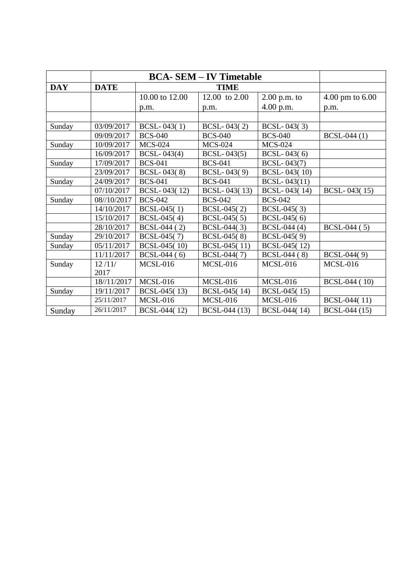| <b>DAY</b> | <b>DATE</b> |                    |                 |                     |                             |
|------------|-------------|--------------------|-----------------|---------------------|-----------------------------|
|            |             | 10.00 to 12.00     | 12.00 to 2.00   | $2.00$ p.m. to      | $4.00 \text{ pm}$ to $6.00$ |
|            |             | p.m.               | p.m.            | 4.00 p.m.           | p.m.                        |
|            |             |                    |                 |                     |                             |
| Sunday     | 03/09/2017  | $BCSL-043(1)$      | $BCSL-043(2)$   | $BCSL-043(3)$       |                             |
|            | 09/09/2017  | <b>BCS-040</b>     | <b>BCS-040</b>  | <b>BCS-040</b>      | BCSL-044 (1)                |
| Sunday     | 10/09/2017  | <b>MCS-024</b>     | <b>MCS-024</b>  | <b>MCS-024</b>      |                             |
|            | 16/09/2017  | <b>BCSL-043(4)</b> | BCSL-043(5)     | $BCSL-043(6)$       |                             |
| Sunday     | 17/09/2017  | <b>BCS-041</b>     | <b>BCS-041</b>  | <b>BCSL-043(7)</b>  |                             |
|            | 23/09/2017  | BCSL-043(8)        | $BCSL-043(9)$   | <b>BCSL-043(10)</b> |                             |
| Sunday     | 24/09/2017  | <b>BCS-041</b>     | <b>BCS-041</b>  | BCSL-043(11)        |                             |
|            | 07/10/2017  | BCSL-043(12)       | BCSL-043(13)    | BCSL-043(14)        | BCSL-043(15)                |
| Sunday     | 08//10/2017 | <b>BCS-042</b>     | <b>BCS-042</b>  | <b>BCS-042</b>      |                             |
|            | 14/10/2017  | $BCSL-045(1)$      | $BCSL-045(2)$   | $BCSL-045(3)$       |                             |
|            | 15/10/2017  | $BCSL-045(4)$      | $BCSL-045(5)$   | $BCSL-045(6)$       |                             |
|            | 28/10/2017  | BCSL-044 (2)       | BCSL-044(3)     | BCSL-044 (4)        | BCSL-044 (5)                |
| Sunday     | 29/10/2017  | BCSL-045(7)        | BCSL-045(8)     | BCSL-045(9)         |                             |
| Sunday     | 05/11/2017  | BCSL-045(10)       | BCSL-045(11)    | BCSL-045(12)        |                             |
|            | 11/11/2017  | $BCSL-044(6)$      | BCSL-044(7)     | BCSL-044 (8)        | BCSL-044(9)                 |
| Sunday     | 12/11/      | <b>MCSL-016</b>    | <b>MCSL-016</b> | <b>MCSL-016</b>     | <b>MCSL-016</b>             |
|            | 2017        |                    |                 |                     |                             |
|            | 18//11/2017 | <b>MCSL-016</b>    | <b>MCSL-016</b> | <b>MCSL-016</b>     | <b>BCSL-044</b> (10)        |
| Sunday     | 19/11/2017  | BCSL-045(13)       | BCSL-045(14)    | BCSL-045(15)        |                             |
|            | 25/11/2017  | <b>MCSL-016</b>    | <b>MCSL-016</b> | <b>MCSL-016</b>     | BCSL-044(11)                |
| Sunday     | 26/11/2017  | BCSL-044(12)       | BCSL-044 (13)   | BCSL-044(14)        | BCSL-044 (15)               |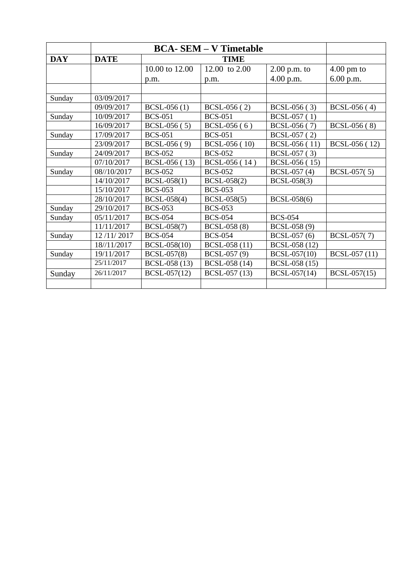| <b>DAY</b> | <b>DATE</b> |                |                      |                |                      |
|------------|-------------|----------------|----------------------|----------------|----------------------|
|            |             | 10.00 to 12.00 | 12.00 to 2.00        | $2.00$ p.m. to | $4.00 \text{ pm}$ to |
|            |             | p.m.           | p.m.                 | 4.00 p.m.      | 6.00 p.m.            |
|            |             |                |                      |                |                      |
| Sunday     | 03/09/2017  |                |                      |                |                      |
|            | 09/09/2017  | $BCSL-056(1)$  | BCSL-056 (2)         | BCSL-056 (3)   | BCSL-056 (4)         |
| Sunday     | 10/09/2017  | <b>BCS-051</b> | <b>BCS-051</b>       | BCSL-057 (1)   |                      |
|            | 16/09/2017  | $BCSL-056(5)$  | $BCSL-056(6)$        | BCSL-056 (7)   | $BCSL-056(8)$        |
| Sunday     | 17/09/2017  | <b>BCS-051</b> | <b>BCS-051</b>       | BCSL-057 (2)   |                      |
|            | 23/09/2017  | $BCSL-056(9)$  | <b>BCSL-056</b> (10) | BCSL-056 (11)  | BCSL-056 (12)        |
| Sunday     | 24/09/2017  | <b>BCS-052</b> | <b>BCS-052</b>       | BCSL-057 (3)   |                      |
|            | 07/10/2017  | BCSL-056 (13)  | BCSL-056 (14)        | BCSL-056 (15)  |                      |
| Sunday     | 08//10/2017 | <b>BCS-052</b> | <b>BCS-052</b>       | BCSL-057 (4)   | BCSL-057(5)          |
|            | 14/10/2017  | $BCSL-058(1)$  | BCSL-058(2)          | BCSL-058(3)    |                      |
|            | 15/10/2017  | <b>BCS-053</b> | <b>BCS-053</b>       |                |                      |
|            | 28/10/2017  | BCSL-058(4)    | BCSL-058(5)          | BCSL-058(6)    |                      |
| Sunday     | 29/10/2017  | <b>BCS-053</b> | <b>BCS-053</b>       |                |                      |
| Sunday     | 05/11/2017  | <b>BCS-054</b> | <b>BCS-054</b>       | <b>BCS-054</b> |                      |
|            | 11/11/2017  | BCSL-058(7)    | BCSL-058 (8)         | BCSL-058 (9)   |                      |
| Sunday     | 12/11/2017  | <b>BCS-054</b> | <b>BCS-054</b>       | BCSL-057 (6)   | BCSL-057(7)          |
|            | 18//11/2017 | BCSL-058(10)   | BCSL-058 (11)        | BCSL-058 (12)  |                      |
| Sunday     | 19/11/2017  | BCSL-057(8)    | BCSL-057 (9)         | BCSL-057(10)   | BCSL-057 (11)        |
|            | 25/11/2017  | BCSL-058 (13)  | BCSL-058 (14)        | BCSL-058 (15)  |                      |
| Sunday     | 26/11/2017  | BCSL-057(12)   | BCSL-057 (13)        | BCSL-057(14)   | $BCSL-057(15)$       |
|            |             |                |                      |                |                      |